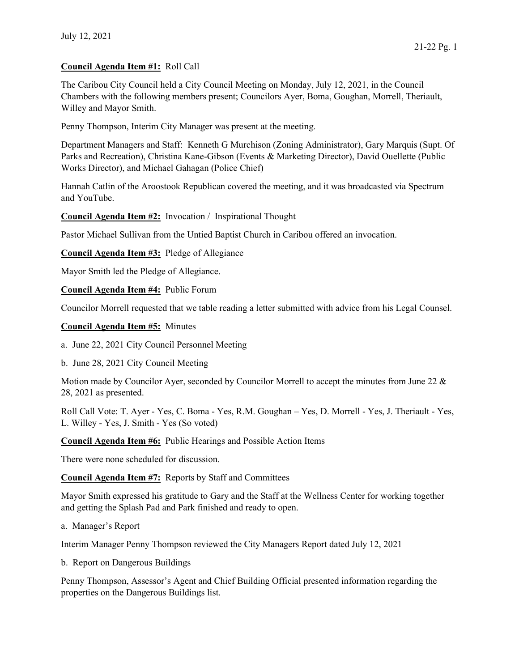## Council Agenda Item #1: Roll Call

The Caribou City Council held a City Council Meeting on Monday, July 12, 2021, in the Council Chambers with the following members present; Councilors Ayer, Boma, Goughan, Morrell, Theriault, Willey and Mayor Smith.

Penny Thompson, Interim City Manager was present at the meeting.

Department Managers and Staff: Kenneth G Murchison (Zoning Administrator), Gary Marquis (Supt. Of Parks and Recreation), Christina Kane-Gibson (Events & Marketing Director), David Ouellette (Public Works Director), and Michael Gahagan (Police Chief)

Hannah Catlin of the Aroostook Republican covered the meeting, and it was broadcasted via Spectrum and YouTube.

Council Agenda Item #2: Invocation / Inspirational Thought

Pastor Michael Sullivan from the Untied Baptist Church in Caribou offered an invocation.

Council Agenda Item #3: Pledge of Allegiance

Mayor Smith led the Pledge of Allegiance.

Council Agenda Item #4: Public Forum

Councilor Morrell requested that we table reading a letter submitted with advice from his Legal Counsel.

Council Agenda Item #5: Minutes

a. June 22, 2021 City Council Personnel Meeting

b. June 28, 2021 City Council Meeting

Motion made by Councilor Ayer, seconded by Councilor Morrell to accept the minutes from June 22 & 28, 2021 as presented.

Roll Call Vote: T. Ayer - Yes, C. Boma - Yes, R.M. Goughan – Yes, D. Morrell - Yes, J. Theriault - Yes, L. Willey - Yes, J. Smith - Yes (So voted)

Council Agenda Item #6: Public Hearings and Possible Action Items

There were none scheduled for discussion.

Council Agenda Item #7: Reports by Staff and Committees

Mayor Smith expressed his gratitude to Gary and the Staff at the Wellness Center for working together and getting the Splash Pad and Park finished and ready to open.

a. Manager's Report

Interim Manager Penny Thompson reviewed the City Managers Report dated July 12, 2021

b. Report on Dangerous Buildings

Penny Thompson, Assessor's Agent and Chief Building Official presented information regarding the properties on the Dangerous Buildings list.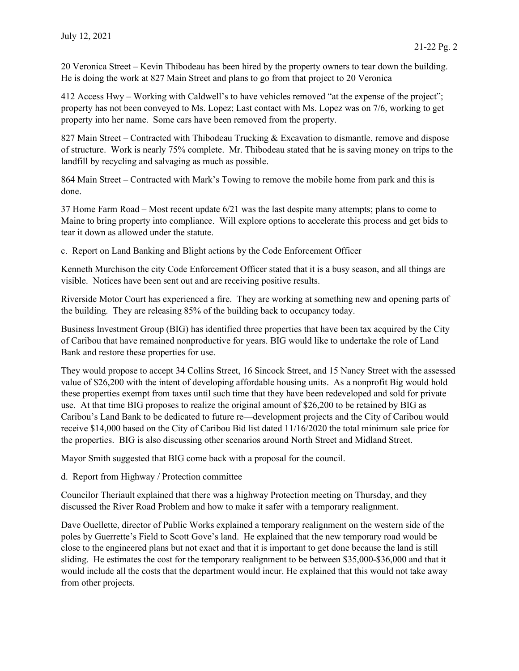20 Veronica Street – Kevin Thibodeau has been hired by the property owners to tear down the building. He is doing the work at 827 Main Street and plans to go from that project to 20 Veronica

412 Access Hwy – Working with Caldwell's to have vehicles removed "at the expense of the project"; property has not been conveyed to Ms. Lopez; Last contact with Ms. Lopez was on 7/6, working to get property into her name. Some cars have been removed from the property.

827 Main Street – Contracted with Thibodeau Trucking & Excavation to dismantle, remove and dispose of structure. Work is nearly 75% complete. Mr. Thibodeau stated that he is saving money on trips to the landfill by recycling and salvaging as much as possible.

864 Main Street – Contracted with Mark's Towing to remove the mobile home from park and this is done.

37 Home Farm Road – Most recent update 6/21 was the last despite many attempts; plans to come to Maine to bring property into compliance. Will explore options to accelerate this process and get bids to tear it down as allowed under the statute.

c. Report on Land Banking and Blight actions by the Code Enforcement Officer

Kenneth Murchison the city Code Enforcement Officer stated that it is a busy season, and all things are visible. Notices have been sent out and are receiving positive results.

Riverside Motor Court has experienced a fire. They are working at something new and opening parts of the building. They are releasing 85% of the building back to occupancy today.

Business Investment Group (BIG) has identified three properties that have been tax acquired by the City of Caribou that have remained nonproductive for years. BIG would like to undertake the role of Land Bank and restore these properties for use.

They would propose to accept 34 Collins Street, 16 Sincock Street, and 15 Nancy Street with the assessed value of \$26,200 with the intent of developing affordable housing units. As a nonprofit Big would hold these properties exempt from taxes until such time that they have been redeveloped and sold for private use. At that time BIG proposes to realize the original amount of \$26,200 to be retained by BIG as Caribou's Land Bank to be dedicated to future re—development projects and the City of Caribou would receive \$14,000 based on the City of Caribou Bid list dated 11/16/2020 the total minimum sale price for the properties. BIG is also discussing other scenarios around North Street and Midland Street.

Mayor Smith suggested that BIG come back with a proposal for the council.

d. Report from Highway / Protection committee

Councilor Theriault explained that there was a highway Protection meeting on Thursday, and they discussed the River Road Problem and how to make it safer with a temporary realignment.

Dave Ouellette, director of Public Works explained a temporary realignment on the western side of the poles by Guerrette's Field to Scott Gove's land. He explained that the new temporary road would be close to the engineered plans but not exact and that it is important to get done because the land is still sliding. He estimates the cost for the temporary realignment to be between \$35,000-\$36,000 and that it would include all the costs that the department would incur. He explained that this would not take away from other projects.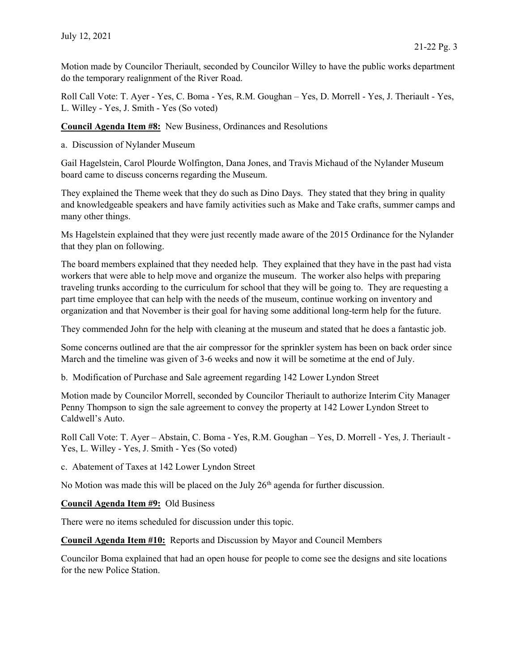Motion made by Councilor Theriault, seconded by Councilor Willey to have the public works department do the temporary realignment of the River Road.

Roll Call Vote: T. Ayer - Yes, C. Boma - Yes, R.M. Goughan – Yes, D. Morrell - Yes, J. Theriault - Yes, L. Willey - Yes, J. Smith - Yes (So voted)

Council Agenda Item #8: New Business, Ordinances and Resolutions

a. Discussion of Nylander Museum

Gail Hagelstein, Carol Plourde Wolfington, Dana Jones, and Travis Michaud of the Nylander Museum board came to discuss concerns regarding the Museum.

They explained the Theme week that they do such as Dino Days. They stated that they bring in quality and knowledgeable speakers and have family activities such as Make and Take crafts, summer camps and many other things.

Ms Hagelstein explained that they were just recently made aware of the 2015 Ordinance for the Nylander that they plan on following.

The board members explained that they needed help. They explained that they have in the past had vista workers that were able to help move and organize the museum. The worker also helps with preparing traveling trunks according to the curriculum for school that they will be going to. They are requesting a part time employee that can help with the needs of the museum, continue working on inventory and organization and that November is their goal for having some additional long-term help for the future.

They commended John for the help with cleaning at the museum and stated that he does a fantastic job.

Some concerns outlined are that the air compressor for the sprinkler system has been on back order since March and the timeline was given of 3-6 weeks and now it will be sometime at the end of July.

b. Modification of Purchase and Sale agreement regarding 142 Lower Lyndon Street

Motion made by Councilor Morrell, seconded by Councilor Theriault to authorize Interim City Manager Penny Thompson to sign the sale agreement to convey the property at 142 Lower Lyndon Street to Caldwell's Auto.

Roll Call Vote: T. Ayer – Abstain, C. Boma - Yes, R.M. Goughan – Yes, D. Morrell - Yes, J. Theriault - Yes, L. Willey - Yes, J. Smith - Yes (So voted)

c. Abatement of Taxes at 142 Lower Lyndon Street

No Motion was made this will be placed on the July  $26<sup>th</sup>$  agenda for further discussion.

Council Agenda Item #9: Old Business

There were no items scheduled for discussion under this topic.

Council Agenda Item #10: Reports and Discussion by Mayor and Council Members

Councilor Boma explained that had an open house for people to come see the designs and site locations for the new Police Station.